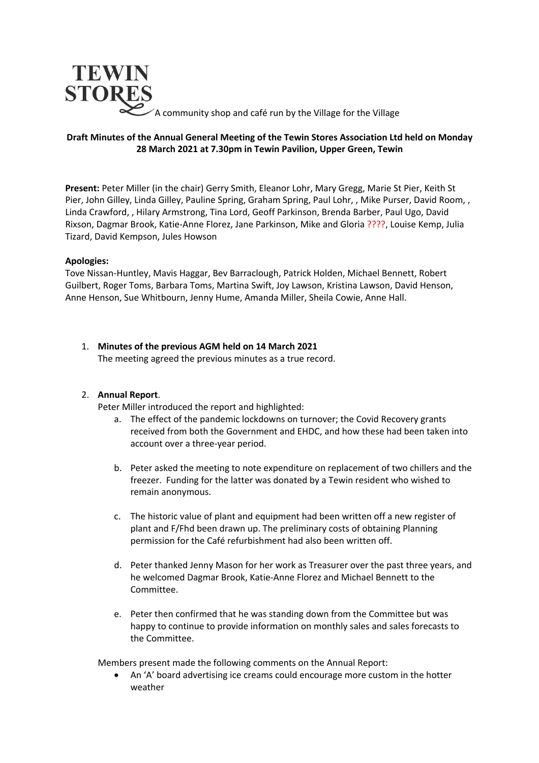

A community shop and café run by the Village for the Village

## **Draft Minutes of the Annual General Meeting of the Tewin Stores Association Ltd held on Monday 28 March 2021 at 7.30pm in Tewin Pavilion, Upper Green, Tewin**

**Present:** Peter Miller (in the chair) Gerry Smith, Eleanor Lohr, Mary Gregg, Marie St Pier, Keith St Pier, John Gilley, Linda Gilley, Pauline Spring, Graham Spring, Paul Lohr, , Mike Purser, David Room, , Linda Crawford, , Hilary Armstrong, Tina Lord, Geoff Parkinson, Brenda Barber, Paul Ugo, David Rixson, Dagmar Brook, Katie-Anne Florez, Jane Parkinson, Mike and Gloria ????, Louise Kemp, Julia Tizard, David Kempson, Jules Howson

### **Apologies:**

Tove Nissan-Huntley, Mavis Haggar, Bev Barraclough, Patrick Holden, Michael Bennett, Robert Guilbert, Roger Toms, Barbara Toms, Martina Swift, Joy Lawson, Kristina Lawson, David Henson, Anne Henson, Sue Whitbourn, Jenny Hume, Amanda Miller, Sheila Cowie, Anne Hall.

# 1. **Minutes of the previous AGM held on 14 March 2021**

The meeting agreed the previous minutes as a true record.

# 2. **Annual Report**.

Peter Miller introduced the report and highlighted:

- a. The effect of the pandemic lockdowns on turnover; the Covid Recovery grants received from both the Government and EHDC, and how these had been taken into account over a three-year period.
- b. Peter asked the meeting to note expenditure on replacement of two chillers and the freezer. Funding for the latter was donated by a Tewin resident who wished to remain anonymous.
- c. The historic value of plant and equipment had been written off a new register of plant and F/Fhd been drawn up. The preliminary costs of obtaining Planning permission for the Café refurbishment had also been written off.
- d. Peter thanked Jenny Mason for her work as Treasurer over the past three years, and he welcomed Dagmar Brook, Katie-Anne Florez and Michael Bennett to the Committee.
- e. Peter then confirmed that he was standing down from the Committee but was happy to continue to provide information on monthly sales and sales forecasts to the Committee.

Members present made the following comments on the Annual Report:

• An 'A' board advertising ice creams could encourage more custom in the hotter weather